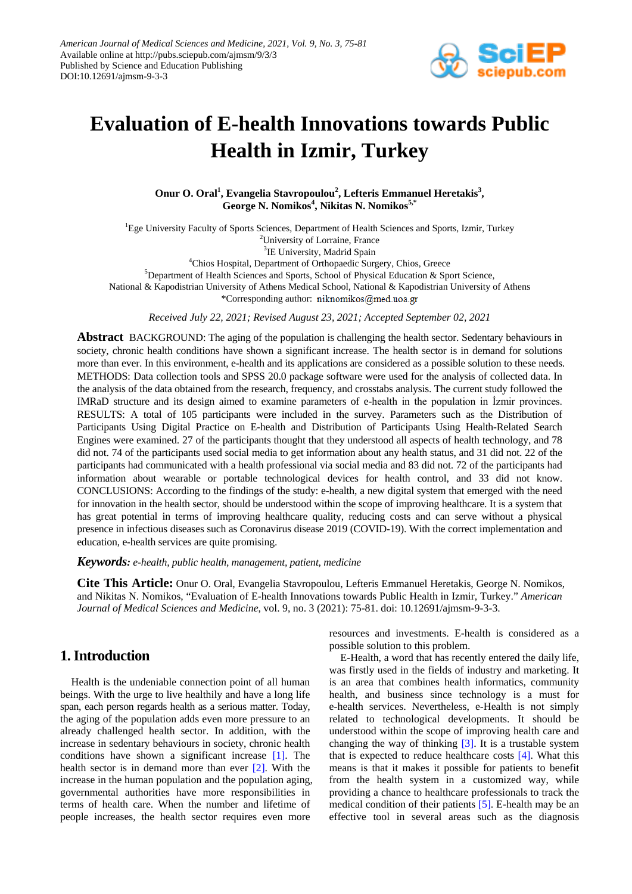

# **Evaluation of E-health Innovations towards Public Health in Izmir, Turkey**

Onur O. Oral<sup>1</sup>, Evangelia Stavropoulou<sup>2</sup>, Lefteris Emmanuel Heretakis<sup>3</sup>, **George N. Nomikos<sup>4</sup> , Nikitas N. Nomikos5,\***

<sup>1</sup>Ege University Faculty of Sports Sciences, Department of Health Sciences and Sports, Izmir, Turkey 2 University of Lorraine, France <sup>3</sup>IE University, Madrid Spain 4 Chios Hospital, Department of Orthopaedic Surgery, Chios, Greece 5 Department of Health Sciences and Sports, School of Physical Education & Sport Science,

National & Kapodistrian University of Athens Medical School, National & Kapodistrian University of Athens

\*Corresponding author: niknomikos@med.uoa.gr

*Received July 22, 2021; Revised August 23, 2021; Accepted September 02, 2021*

**Abstract** BACKGROUND: The aging of the population is challenging the health sector. Sedentary behaviours in society, chronic health conditions have shown a significant increase. The health sector is in demand for solutions more than ever. In this environment, e-health and its applications are considered as a possible solution to these needs. METHODS: Data collection tools and SPSS 20.0 package software were used for the analysis of collected data. In the analysis of the data obtained from the research, frequency, and crosstabs analysis. The current study followed the IMRaD structure and its design aimed to examine parameters of e-health in the population in İzmir provinces. RESULTS: A total of 105 participants were included in the survey. Parameters such as the Distribution of Participants Using Digital Practice on E-health and Distribution of Participants Using Health-Related Search Engines were examined. 27 of the participants thought that they understood all aspects of health technology, and 78 did not. 74 of the participants used social media to get information about any health status, and 31 did not. 22 of the participants had communicated with a health professional via social media and 83 did not. 72 of the participants had information about wearable or portable technological devices for health control, and 33 did not know. CONCLUSIONS: According to the findings of the study: e-health, a new digital system that emerged with the need for innovation in the health sector, should be understood within the scope of improving healthcare. It is a system that has great potential in terms of improving healthcare quality, reducing costs and can serve without a physical presence in infectious diseases such as Coronavirus disease 2019 (COVID-19). With the correct implementation and education, e-health services are quite promising.

*Keywords: e-health, public health, management, patient, medicine*

**Cite This Article:** Onur O. Oral, Evangelia Stavropoulou, Lefteris Emmanuel Heretakis, George N. Nomikos, and Nikitas N. Nomikos, "Evaluation of E-health Innovations towards Public Health in Izmir, Turkey." *American Journal of Medical Sciences and Medicine*, vol. 9, no. 3 (2021): 75-81. doi: 10.12691/ajmsm-9-3-3.

# **1. Introduction**

Health is the undeniable connection point of all human beings. With the urge to live healthily and have a long life span, each person regards health as a serious matter. Today, the aging of the population adds even more pressure to an already challenged health sector. In addition, with the increase in sedentary behaviours in society, chronic health conditions have shown a significant increase [\[1\].](#page-6-0) The health sector is in demand more than ever [\[2\].](#page-6-1) With the increase in the human population and the population aging, governmental authorities have more responsibilities in terms of health care. When the number and lifetime of people increases, the health sector requires even more

resources and investments. E-health is considered as a possible solution to this problem.

E-Health, a word that has recently entered the daily life, was firstly used in the fields of industry and marketing. It is an area that combines health informatics, community health, and business since technology is a must for e-health services. Nevertheless, e-Health is not simply related to technological developments. It should be understood within the scope of improving health care and changing the way of thinking  $[3]$ . It is a trustable system that is expected to reduce healthcare costs [\[4\].](#page-6-3) What this means is that it makes it possible for patients to benefit from the health system in a customized way, while providing a chance to healthcare professionals to track the medical condition of their patients [\[5\].](#page-6-4) E-health may be an effective tool in several areas such as the diagnosis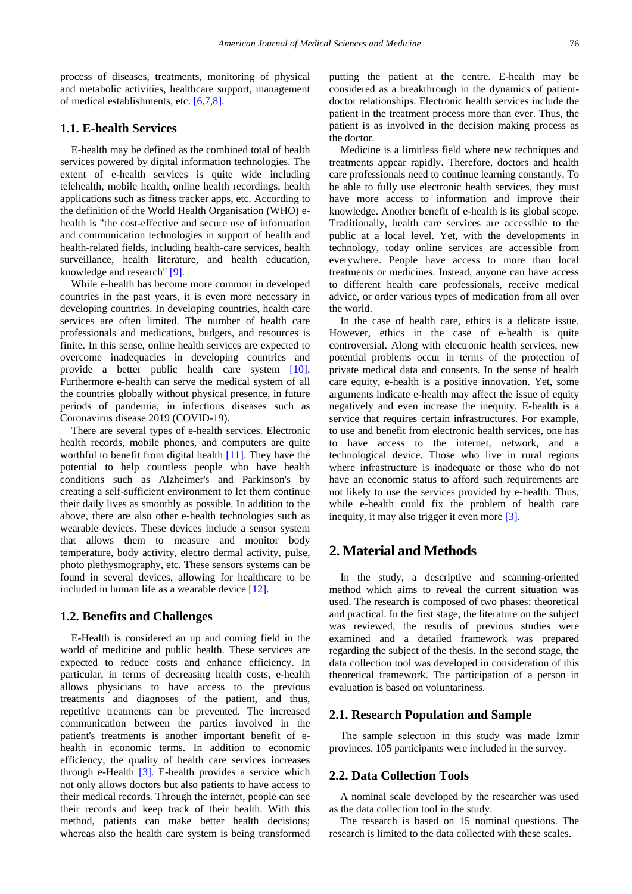process of diseases, treatments, monitoring of physical and metabolic activities, healthcare support, management of medical establishments, etc. [\[6,7,8\].](#page-6-5)

### **1.1. E-health Services**

E-health may be defined as the combined total of health services powered by digital information technologies. The extent of e-health services is quite wide including telehealth, mobile health, online health recordings, health applications such as fitness tracker apps, etc. According to the definition of the World Health Organisation (WHO) ehealth is "the cost-effective and secure use of information and communication technologies in support of health and health-related fields, including health-care services, health surveillance, health literature, and health education, knowledge and research" [\[9\].](#page-6-6)

While e-health has become more common in developed countries in the past years, it is even more necessary in developing countries. In developing countries, health care services are often limited. The number of health care professionals and medications, budgets, and resources is finite. In this sense, online health services are expected to overcome inadequacies in developing countries and provide a better public health care system [\[10\].](#page-6-7) Furthermore e-health can serve the medical system of all the countries globally without physical presence, in future periods of pandemia, in infectious diseases such as Coronavirus disease 2019 (COVID-19).

There are several types of e-health services. Electronic health records, mobile phones, and computers are quite worthful to benefit from digital health [\[11\].](#page-6-8) They have the potential to help countless people who have health conditions such as Alzheimer's and Parkinson's by creating a self-sufficient environment to let them continue their daily lives as smoothly as possible. In addition to the above, there are also other e-health technologies such as wearable devices. These devices include a sensor system that allows them to measure and monitor body temperature, body activity, electro dermal activity, pulse, photo plethysmography, etc. These sensors systems can be found in several devices, allowing for healthcare to be included in human life as a wearable device [\[12\].](#page-6-9)

### **1.2. Benefits and Challenges**

E-Health is considered an up and coming field in the world of medicine and public health. These services are expected to reduce costs and enhance efficiency. In particular, in terms of decreasing health costs, e-health allows physicians to have access to the previous treatments and diagnoses of the patient, and thus, repetitive treatments can be prevented. The increased communication between the parties involved in the patient's treatments is another important benefit of ehealth in economic terms. In addition to economic efficiency, the quality of health care services increases through e-Health [\[3\].](#page-6-2) E-health provides a service which not only allows doctors but also patients to have access to their medical records. Through the internet, people can see their records and keep track of their health. With this method, patients can make better health decisions; whereas also the health care system is being transformed

putting the patient at the centre. E-health may be considered as a breakthrough in the dynamics of patientdoctor relationships. Electronic health services include the patient in the treatment process more than ever. Thus, the patient is as involved in the decision making process as the doctor.

Medicine is a limitless field where new techniques and treatments appear rapidly. Therefore, doctors and health care professionals need to continue learning constantly. To be able to fully use electronic health services, they must have more access to information and improve their knowledge. Another benefit of e-health is its global scope. Traditionally, health care services are accessible to the public at a local level. Yet, with the developments in technology, today online services are accessible from everywhere. People have access to more than local treatments or medicines. Instead, anyone can have access to different health care professionals, receive medical advice, or order various types of medication from all over the world.

In the case of health care, ethics is a delicate issue. However, ethics in the case of e-health is quite controversial. Along with electronic health services, new potential problems occur in terms of the protection of private medical data and consents. In the sense of health care equity, e-health is a positive innovation. Yet, some arguments indicate e-health may affect the issue of equity negatively and even increase the inequity. E-health is a service that requires certain infrastructures. For example, to use and benefit from electronic health services, one has to have access to the internet, network, and a technological device. Those who live in rural regions where infrastructure is inadequate or those who do not have an economic status to afford such requirements are not likely to use the services provided by e-health. Thus, while e-health could fix the problem of health care inequity, it may also trigger it even more [\[3\].](#page-6-2)

### **2. Material and Methods**

In the study, a descriptive and scanning-oriented method which aims to reveal the current situation was used. The research is composed of two phases: theoretical and practical. In the first stage, the literature on the subject was reviewed, the results of previous studies were examined and a detailed framework was prepared regarding the subject of the thesis. In the second stage, the data collection tool was developed in consideration of this theoretical framework. The participation of a person in evaluation is based on voluntariness.

### **2.1. Research Population and Sample**

The sample selection in this study was made İzmir provinces. 105 participants were included in the survey.

### **2.2. Data Collection Tools**

A nominal scale developed by the researcher was used as the data collection tool in the study.

The research is based on 15 nominal questions. The research is limited to the data collected with these scales.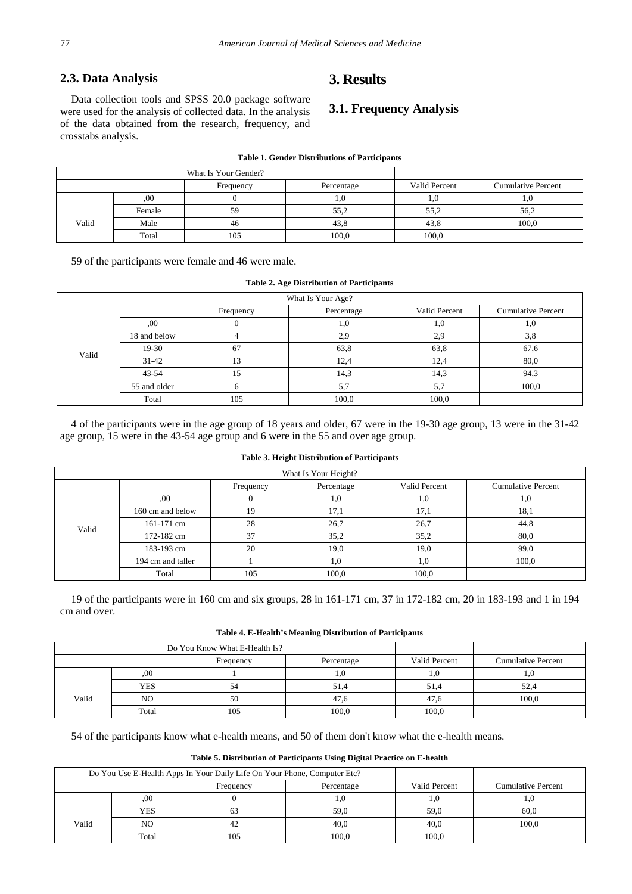### **2.3. Data Analysis**

# **3. Results**

Data collection tools and SPSS 20.0 package software were used for the analysis of collected data. In the analysis of the data obtained from the research, frequency, and crosstabs analysis.

# **3.1. Frequency Analysis**

| What Is Your Gender? |        |           |            |               |                           |
|----------------------|--------|-----------|------------|---------------|---------------------------|
|                      |        | Frequency | Percentage | Valid Percent | <b>Cumulative Percent</b> |
|                      | .00    |           | 1.U        |               | <b>1.U</b>                |
|                      | Female | 59        | 55,2       | 55,2          | 56,2                      |
| Valid                | Male   | 46        | 43,8       | 43.8          | 100,0                     |
|                      | Total  | 105       | 100,0      | 100,0         |                           |

#### **Table 1. Gender Distributions of Participants**

59 of the participants were female and 46 were male.

#### **Table 2. Age Distribution of Participants**

| What Is Your Age? |              |           |            |               |                           |
|-------------------|--------------|-----------|------------|---------------|---------------------------|
| Valid             |              | Frequency | Percentage | Valid Percent | <b>Cumulative Percent</b> |
|                   | .00          |           | υ,ι        | 1,0           |                           |
|                   | 18 and below |           | 2,9        | 2,9           | 3,8                       |
|                   | 19-30        | 67        | 63,8       | 63,8          | 67,6                      |
|                   | $31 - 42$    |           | 12,4       | 12,4          | 80,0                      |
|                   | $43 - 54$    |           | 14,3       | 14,3          | 94,3                      |
|                   | 55 and older |           | 5.7        | 5,7           | 100,0                     |
|                   | Total        | 105       | 100,0      | 100,0         |                           |

4 of the participants were in the age group of 18 years and older, 67 were in the 19-30 age group, 13 were in the 31-42 age group, 15 were in the 43-54 age group and 6 were in the 55 and over age group.

### **Table 3. Height Distribution of Participants**

| What Is Your Height? |                   |           |            |               |                           |  |
|----------------------|-------------------|-----------|------------|---------------|---------------------------|--|
|                      |                   | Frequency | Percentage | Valid Percent | <b>Cumulative Percent</b> |  |
|                      | .00               |           | 1.0        | υ,            | IJ.                       |  |
|                      | 160 cm and below  | 19        | 17,1       | 17,1          | 18,1                      |  |
| Valid                | $161-171$ cm      | 28        | 26,7       | 26,7          | 44,8                      |  |
|                      | 172-182 cm        | 37        | 35,2       | 35,2          | 80,0                      |  |
|                      | 183-193 cm        | 20        | 19,0       | 19,0          | 99,0                      |  |
|                      | 194 cm and taller |           | 1.0        | 1,0           | 100.0                     |  |
|                      | Total             | 105       | 100.0      | 100,0         |                           |  |

19 of the participants were in 160 cm and six groups, 28 in 161-171 cm, 37 in 172-182 cm, 20 in 183-193 and 1 in 194 cm and over.

| Table 4. E-Health's Meaning Distribution of Participants |  |
|----------------------------------------------------------|--|
|----------------------------------------------------------|--|

|       | Do You Know What E-Health Is? |           |            |               |                           |
|-------|-------------------------------|-----------|------------|---------------|---------------------------|
|       |                               | Frequency | Percentage | Valid Percent | <b>Cumulative Percent</b> |
|       | ,00                           |           | IJ.        |               | 1.U                       |
|       | YES                           |           | 51,4       | 51.4          | 52,4                      |
| Valid | N <sub>O</sub>                | 50        | 47,6       | 47.6          | 100.0                     |
|       | Total                         | 105       | 100,0      | 100.0         |                           |

54 of the participants know what e-health means, and 50 of them don't know what the e-health means.

### **Table 5. Distribution of Participants Using Digital Practice on E-health**

| Do You Use E-Health Apps In Your Daily Life On Your Phone, Computer Etc? |       |           |            |               |                           |
|--------------------------------------------------------------------------|-------|-----------|------------|---------------|---------------------------|
|                                                                          |       | Frequency | Percentage | Valid Percent | <b>Cumulative Percent</b> |
|                                                                          | .00   |           | 1.U        |               | 1.U                       |
| Valid                                                                    | YES   |           | 59,0       | 59.0          | 60.0                      |
|                                                                          | NO    | 42        | 40.0       | 40.0          | 100.0                     |
|                                                                          | Total | 105       | 100,0      | 100.0         |                           |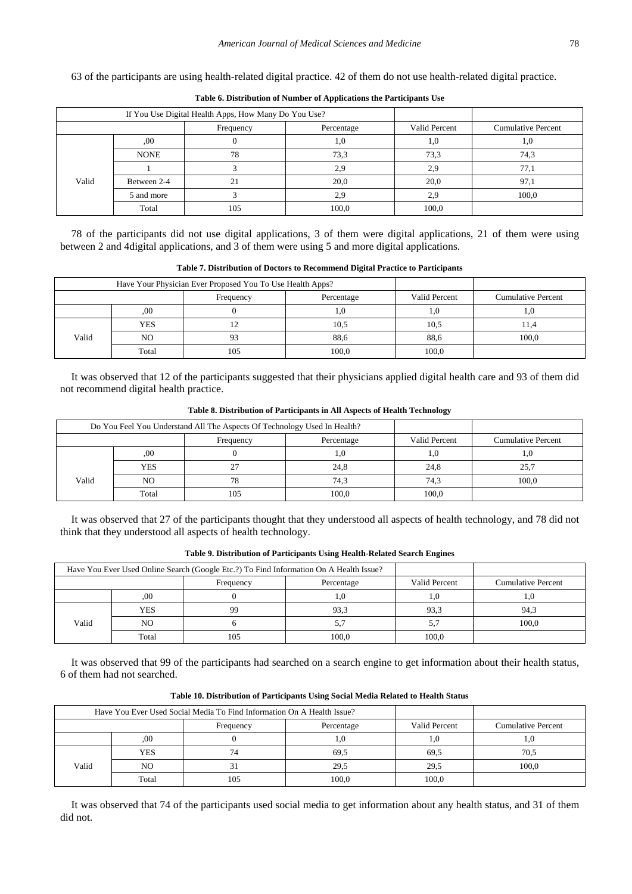63 of the participants are using health-related digital practice. 42 of them do not use health-related digital practice.

| If You Use Digital Health Apps, How Many Do You Use? |             |           |            |               |                           |
|------------------------------------------------------|-------------|-----------|------------|---------------|---------------------------|
|                                                      |             | Frequency | Percentage | Valid Percent | <b>Cumulative Percent</b> |
|                                                      | .00.        |           | 1,0        |               |                           |
| Valid                                                | <b>NONE</b> | 78        | 73.3       | 73,3          | 74,3                      |
|                                                      |             |           | 2,9        | 2.9           | 77.1                      |
|                                                      | Between 2-4 |           | 20,0       | 20.0          | 97,1                      |
|                                                      | 5 and more  |           | 2,9        | 2.9           | 100.0                     |
|                                                      | Total       | 105       | 100,0      | 100,0         |                           |

**Table 6. Distribution of Number of Applications the Participants Use**

78 of the participants did not use digital applications, 3 of them were digital applications, 21 of them were using between 2 and 4digital applications, and 3 of them were using 5 and more digital applications.

|                                                                                | between 2 and 4 digital applications, and 5 of them were using 5 and more digital applications. |           |            |               |                           |  |  |  |
|--------------------------------------------------------------------------------|-------------------------------------------------------------------------------------------------|-----------|------------|---------------|---------------------------|--|--|--|
| Table 7. Distribution of Doctors to Recommend Digital Practice to Participants |                                                                                                 |           |            |               |                           |  |  |  |
|                                                                                | Have Your Physician Ever Proposed You To Use Health Apps?                                       |           |            |               |                           |  |  |  |
|                                                                                |                                                                                                 | Frequency | Percentage | Valid Percent | <b>Cumulative Percent</b> |  |  |  |
|                                                                                | .00                                                                                             |           | 1,0        |               |                           |  |  |  |
|                                                                                | YES                                                                                             |           | 10,5       | 10.5          | 11.4                      |  |  |  |
| Valid                                                                          | NO                                                                                              |           | 88,6       | 88,6          | 100.0                     |  |  |  |

It was observed that 12 of the participants suggested that their physicians applied digital health care and 93 of them did not recommend digital health practice.

Total 105 100,0 100,0

|       | Do You Feel You Understand All The Aspects Of Technology Used In Health? |           |            |               |                           |
|-------|--------------------------------------------------------------------------|-----------|------------|---------------|---------------------------|
|       |                                                                          | Frequency | Percentage | Valid Percent | <b>Cumulative Percent</b> |
|       | .00.                                                                     |           |            |               | 1.0                       |
|       | YES                                                                      | 27        | 24,8       | 24,8          | 25,7                      |
| Valid | NO                                                                       | 78        | 74,3       | 74.3          | 100.0                     |
|       | Total                                                                    | 105       | 100.0      | 100,0         |                           |

**Table 8. Distribution of Participants in All Aspects of Health Technology**

It was observed that 27 of the participants thought that they understood all aspects of health technology, and 78 did not think that they understood all aspects of health technology.

| Have You Ever Used Online Search (Google Etc.?) To Find Information On A Health Issue? |       |           |            |                      |                           |
|----------------------------------------------------------------------------------------|-------|-----------|------------|----------------------|---------------------------|
|                                                                                        |       | Frequency | Percentage | <b>Valid Percent</b> | <b>Cumulative Percent</b> |
|                                                                                        | .00   |           | 1,0        |                      | IJ.                       |
|                                                                                        | YES   | QQ        | 93.3       | 93,3                 | 94.3                      |
| Valid                                                                                  | NO    |           | 5.7        |                      | 100.0                     |
|                                                                                        | Total | 105       | 100.0      | 100.0                |                           |

It was observed that 99 of the participants had searched on a search engine to get information about their health status, 6 of them had not searched.

| ve You Ever Used Social Media To Find Information On A Health Issue? |            |               |         |
|----------------------------------------------------------------------|------------|---------------|---------|
| Frequency                                                            | Percentage | Valid Percent | \umulat |

**Table 10. Distribution of Participants Using Social Media Related to Health Status**

|       | Have You Ever Used Social Media To Find Information On A Health Issue? |           |            |               |                           |
|-------|------------------------------------------------------------------------|-----------|------------|---------------|---------------------------|
|       |                                                                        | Frequency | Percentage | Valid Percent | <b>Cumulative Percent</b> |
|       | ,00                                                                    |           | 1.0        |               | 1.U                       |
|       | YES                                                                    | 74        | 69,5       | 69.5          | 70.5                      |
| Valid | NO                                                                     |           | 29,5       | 29,5          | 100.0                     |
|       | Total                                                                  | 105       | 100,0      | 100.0         |                           |

It was observed that 74 of the participants used social media to get information about any health status, and 31 of them did not.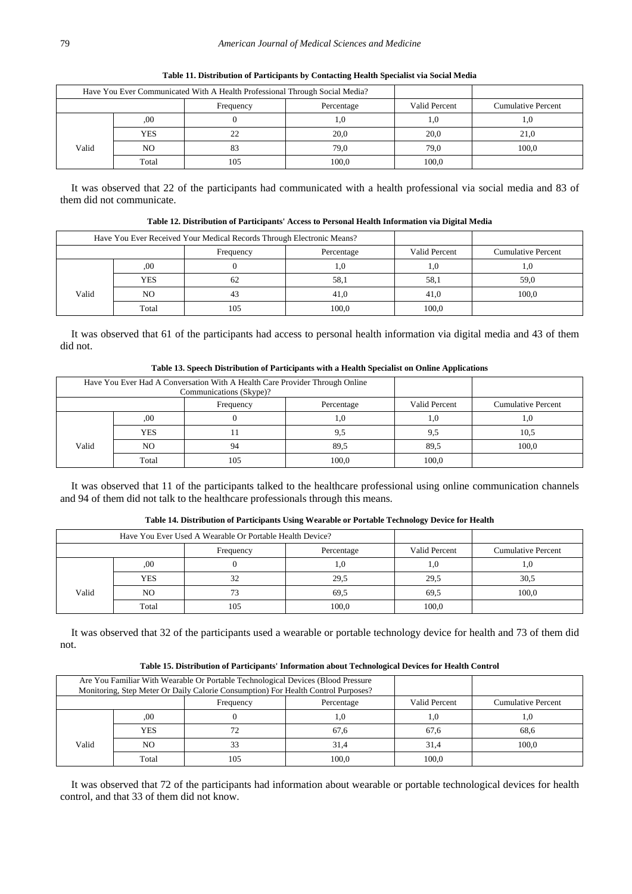| Have You Ever Communicated With A Health Professional Through Social Media? |       |           |            |               |                           |
|-----------------------------------------------------------------------------|-------|-----------|------------|---------------|---------------------------|
|                                                                             |       | Frequency | Percentage | Valid Percent | <b>Cumulative Percent</b> |
|                                                                             | .00.  |           | 1,0        | L.O           |                           |
|                                                                             | YES   | າາ        | 20,0       | 20,0          | 21.0                      |
| Valid                                                                       | NO    |           | 79,0       | 79,0          | 100.0                     |
|                                                                             | Total |           | 100,0      | 100.0         |                           |

**Table 11. Distribution of Participants by Contacting Health Specialist via Social Media**

It was observed that 22 of the participants had communicated with a health professional via social media and 83 of them did not communicate.

**Table 12. Distribution of Participants' Access to Personal Health Information via Digital Media**

|       | Have You Ever Received Your Medical Records Through Electronic Means? |           |            |               |                           |
|-------|-----------------------------------------------------------------------|-----------|------------|---------------|---------------------------|
|       |                                                                       | Frequency | Percentage | Valid Percent | <b>Cumulative Percent</b> |
|       | .00                                                                   |           | 1,0        |               |                           |
|       | YES                                                                   | 62        | 58,1       | 58,1          | 59,0                      |
| Valid | NO                                                                    | 41        | 41.0       | 41.0          | 100.0                     |
|       | Total                                                                 |           | 100,0      | 100.0         |                           |

It was observed that 61 of the participants had access to personal health information via digital media and 43 of them did not.

|            |                                                                             | Table 13. Speech Distribution of Participants with a Health Specialist on Online Applications |               |                           |
|------------|-----------------------------------------------------------------------------|-----------------------------------------------------------------------------------------------|---------------|---------------------------|
|            | Have You Ever Had A Conversation With A Health Care Provider Through Online |                                                                                               |               |                           |
|            | Communications (Skype)?                                                     |                                                                                               |               |                           |
|            | Frequency                                                                   | Percentage                                                                                    | Valid Percent | <b>Cumulative Percent</b> |
| .00        |                                                                             | .0                                                                                            | 1.0           | U. 1                      |
| <b>YES</b> |                                                                             | 9.5                                                                                           |               | 10,5                      |

Total 105 100,0 100,0

**Table 13. Speech Distribution of Participants with a Health Specialist on Online Applications**

It was observed that 11 of the participants talked to the healthcare professional using online communication channels and 94 of them did not talk to the healthcare professionals through this means.

NO  $\begin{array}{|c|c|c|c|c|c|c|c|c|} \hline \text{NLO} & \text{94} & \text{89,5} & \text{89,5} & \text{100,0} \ \hline \end{array}$ 

|       | Have You Ever Used A Wearable Or Portable Health Device? |           |            |               |                           |
|-------|----------------------------------------------------------|-----------|------------|---------------|---------------------------|
|       |                                                          | Frequency | Percentage | Valid Percent | <b>Cumulative Percent</b> |
|       | .00                                                      |           | 1,0        |               | 1.0                       |
|       | <b>YES</b>                                               | 32        | 29.5       | 29.5          | 30,5                      |
| Valid | N <sub>O</sub>                                           | 73        | 69.5       | 69,5          | 100.0                     |
|       | Total                                                    | 105       | 100,0      | 100.0         |                           |

**Table 14. Distribution of Participants Using Wearable or Portable Technology Device for Health**

It was observed that 32 of the participants used a wearable or portable technology device for health and 73 of them did not.

|                         | Are You Familiar With Wearable Or Portable Technological Devices (Blood Pressure<br>Monitoring, Step Meter Or Daily Calorie Consumption) For Health Control Purposes? |     |       |               |                    |
|-------------------------|-----------------------------------------------------------------------------------------------------------------------------------------------------------------------|-----|-------|---------------|--------------------|
| Percentage<br>Frequency |                                                                                                                                                                       |     |       | Valid Percent | Cumulative Percent |
|                         | .00                                                                                                                                                                   |     | 1.0   |               |                    |
|                         | YES                                                                                                                                                                   |     | 67.6  | 67.6          | 68.6               |
| Valid                   | NO                                                                                                                                                                    |     | 31,4  | 31.4          | 100.0              |
|                         | Total                                                                                                                                                                 | 105 | 100.0 | 100.0         |                    |

**Table 15. Distribution of Participants' Information about Technological Devices for Health Control**

It was observed that 72 of the participants had information about wearable or portable technological devices for health control, and that 33 of them did not know.

Valid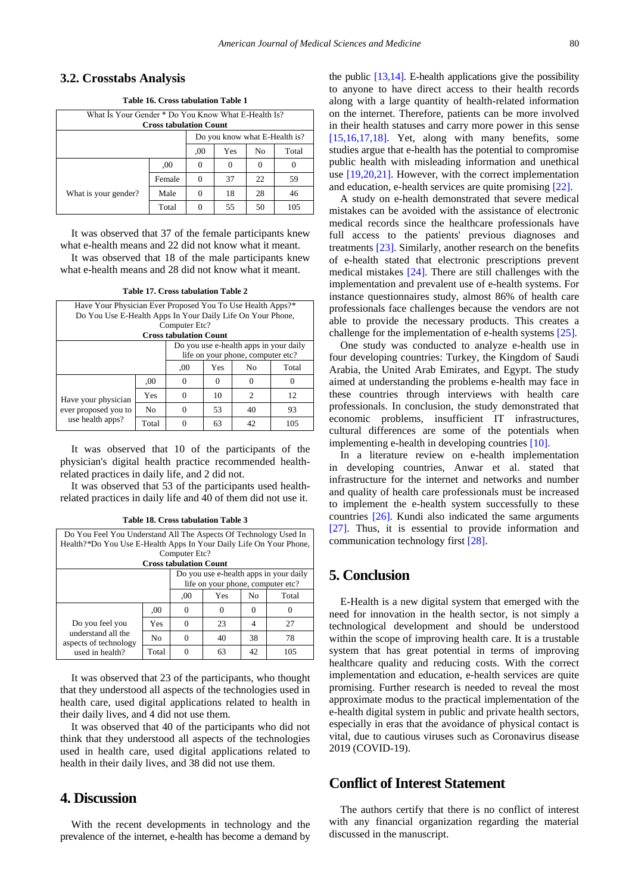### **3.2. Crosstabs Analysis**

**Table 16. Cross tabulation Table 1**

| What Is Your Gender * Do You Know What E-Health Is?<br><b>Cross tabulation Count</b> |        |          |    |       |     |  |  |
|--------------------------------------------------------------------------------------|--------|----------|----|-------|-----|--|--|
| Do you know what E-Health is?                                                        |        |          |    |       |     |  |  |
|                                                                                      | ,00    | Yes      | No | Total |     |  |  |
|                                                                                      | .00    | 0        |    |       |     |  |  |
|                                                                                      | Female | $\Omega$ | 37 | 22    | 59  |  |  |
| What is your gender?                                                                 | Male   | 0        | 18 | 28    | 46  |  |  |
|                                                                                      | Total  |          | 55 | 50    | 105 |  |  |

It was observed that 37 of the female participants knew what e-health means and 22 did not know what it meant.

It was observed that 18 of the male participants knew what e-health means and 28 did not know what it meant.

| Table 17. Cross tabulation Table 2 |  |  |
|------------------------------------|--|--|
|------------------------------------|--|--|

| Have Your Physician Ever Proposed You To Use Health Apps?*      |                |                                   |                |                             |     |  |  |
|-----------------------------------------------------------------|----------------|-----------------------------------|----------------|-----------------------------|-----|--|--|
| Do You Use E-Health Apps In Your Daily Life On Your Phone,      |                |                                   |                |                             |     |  |  |
| Computer Etc?                                                   |                |                                   |                |                             |     |  |  |
| <b>Cross tabulation Count</b>                                   |                |                                   |                |                             |     |  |  |
| Do you use e-health apps in your daily                          |                |                                   |                |                             |     |  |  |
|                                                                 |                | life on your phone, computer etc? |                |                             |     |  |  |
|                                                                 | .00            | Yes                               | N <sub>0</sub> | Total                       |     |  |  |
|                                                                 | .00            |                                   |                |                             |     |  |  |
| Have your physician<br>ever proposed you to<br>use health apps? | Yes            |                                   | 10             | $\mathcal{D}_{\mathcal{L}}$ | 12  |  |  |
|                                                                 | N <sub>0</sub> |                                   | 53             | 40                          | 93  |  |  |
|                                                                 | Total          |                                   | 63             | 42                          | 105 |  |  |

It was observed that 10 of the participants of the physician's digital health practice recommended healthrelated practices in daily life, and 2 did not.

It was observed that 53 of the participants used healthrelated practices in daily life and 40 of them did not use it.

| Do You Feel You Understand All The Aspects Of Technology Used In   |                |                                   |    |       |     |  |
|--------------------------------------------------------------------|----------------|-----------------------------------|----|-------|-----|--|
| Health?*Do You Use E-Health Apps In Your Daily Life On Your Phone, |                |                                   |    |       |     |  |
| Computer Etc?                                                      |                |                                   |    |       |     |  |
| <b>Cross tabulation Count</b>                                      |                |                                   |    |       |     |  |
| Do you use e-health apps in your daily                             |                |                                   |    |       |     |  |
|                                                                    |                | life on your phone, computer etc? |    |       |     |  |
|                                                                    | .00            | Yes                               | No | Total |     |  |
|                                                                    | .00.           | 0                                 | 0  | 0     |     |  |
| Do you feel you                                                    | Yes            | 0                                 | 23 | 4     | 27  |  |
| understand all the<br>aspects of technology                        | N <sub>0</sub> | 0                                 | 40 | 38    | 78  |  |
| used in health?                                                    | Total          |                                   | 63 | 42    | 105 |  |

It was observed that 23 of the participants, who thought that they understood all aspects of the technologies used in health care, used digital applications related to health in their daily lives, and 4 did not use them.

It was observed that 40 of the participants who did not think that they understood all aspects of the technologies used in health care, used digital applications related to health in their daily lives, and 38 did not use them.

# **4. Discussion**

With the recent developments in technology and the prevalence of the internet, e-health has become a demand by the public  $[13,14]$ . E-health applications give the possibility to anyone to have direct access to their health records along with a large quantity of health-related information on the internet. Therefore, patients can be more involved in their health statuses and carry more power in this sense [\[15,16,17,18\].](#page-6-11) Yet, along with many benefits, some studies argue that e-health has the potential to compromise public health with misleading information and unethical use [\[19,20,21\].](#page-6-12) However, with the correct implementation and education, e-health services are quite promisin[g \[22\].](#page-6-13)

A study on e-health demonstrated that severe medical mistakes can be avoided with the assistance of electronic medical records since the healthcare professionals have full access to the patients' previous diagnoses and treatments [\[23\].](#page-6-14) Similarly, another research on the benefits of e-health stated that electronic prescriptions prevent medical mistakes [\[24\].](#page-6-15) There are still challenges with the implementation and prevalent use of e-health systems. For instance questionnaires study, almost 86% of health care professionals face challenges because the vendors are not able to provide the necessary products. This creates a challenge for the implementation of e-health systems [\[25\].](#page-6-16)

One study was conducted to analyze e-health use in four developing countries: Turkey, the Kingdom of Saudi Arabia, the United Arab Emirates, and Egypt. The study aimed at understanding the problems e-health may face in these countries through interviews with health care professionals. In conclusion, the study demonstrated that economic problems, insufficient IT infrastructures, cultural differences are some of the potentials when implementing e-health in developing countries [\[10\].](#page-6-7)

In a literature review on e-health implementation in developing countries, Anwar et al. stated that infrastructure for the internet and networks and number and quality of health care professionals must be increased to implement the e-health system successfully to these countries [\[26\].](#page-6-17) Kundi also indicated the same arguments [\[27\].](#page-6-18) Thus, it is essential to provide information and communication technology first [\[28\].](#page-6-19)

# **5. Conclusion**

E-Health is a new digital system that emerged with the need for innovation in the health sector, is not simply a technological development and should be understood within the scope of improving health care. It is a trustable system that has great potential in terms of improving healthcare quality and reducing costs. With the correct implementation and education, e-health services are quite promising. Further research is needed to reveal the most approximate modus to the practical implementation of the e-health digital system in public and private health sectors, especially in eras that the avoidance of physical contact is vital, due to cautious viruses such as Coronavirus disease 2019 (COVID-19).

### **Conflict of Interest Statement**

The authors certify that there is no conflict of interest with any financial organization regarding the material discussed in the manuscript.